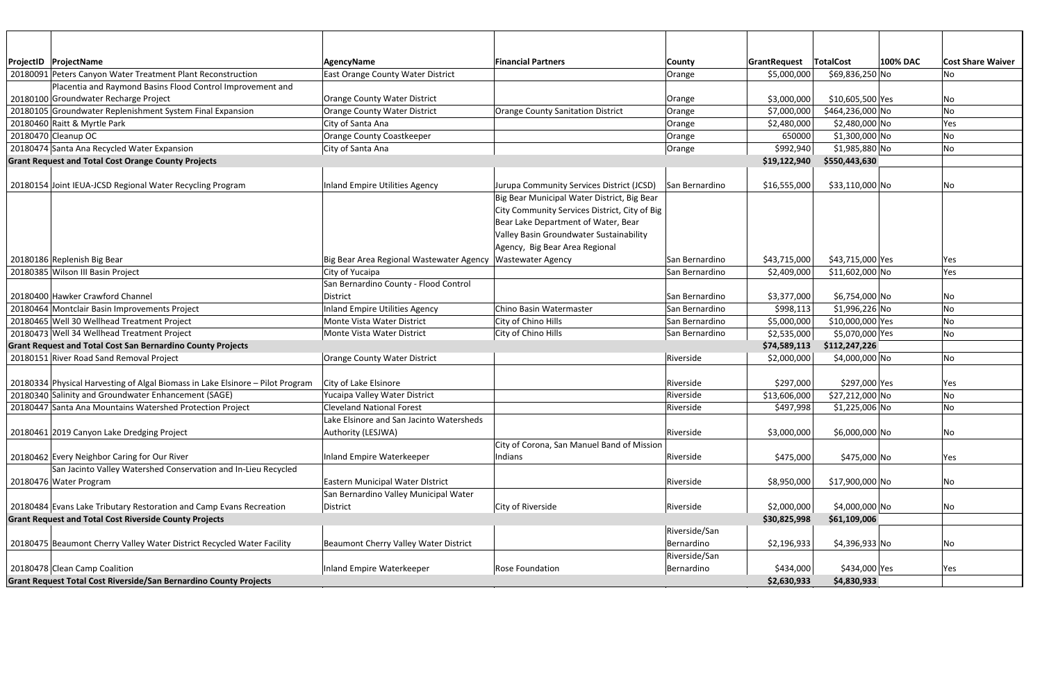| ProjectID   ProjectName                                                        | <b>AgencyName</b>                        | <b>Financial Partners</b>                     | County         | GrantRequest | <b>TotalCost</b> | <b>100% DAC</b> | <b>Cost Share Waiver</b> |
|--------------------------------------------------------------------------------|------------------------------------------|-----------------------------------------------|----------------|--------------|------------------|-----------------|--------------------------|
| 20180091 Peters Canyon Water Treatment Plant Reconstruction                    | East Orange County Water District        |                                               | Orange         | \$5,000,000  | \$69,836,250 No  |                 | No                       |
| Placentia and Raymond Basins Flood Control Improvement and                     |                                          |                                               |                |              |                  |                 |                          |
| 20180100 Groundwater Recharge Project                                          | <b>Orange County Water District</b>      |                                               | Orange         | \$3,000,000  | \$10,605,500 Yes |                 | No                       |
| 20180105 Groundwater Replenishment System Final Expansion                      | <b>Orange County Water District</b>      | Orange County Sanitation District             | Orange         | \$7,000,000  | \$464,236,000 No |                 | No                       |
| 20180460 Raitt & Myrtle Park                                                   | City of Santa Ana                        |                                               | Orange         | \$2,480,000  | \$2,480,000 No   |                 | Yes                      |
| 20180470 Cleanup OC                                                            | Orange County Coastkeeper                |                                               | Orange         | 650000       | \$1,300,000 No   |                 | No                       |
| 20180474 Santa Ana Recycled Water Expansion                                    | City of Santa Ana                        |                                               | Orange         | \$992,940    | \$1,985,880 No   |                 | No                       |
| <b>Grant Request and Total Cost Orange County Projects</b>                     |                                          |                                               |                | \$19,122,940 | \$550,443,630    |                 |                          |
|                                                                                |                                          |                                               |                |              |                  |                 |                          |
| 20180154 Joint IEUA-JCSD Regional Water Recycling Program                      | <b>Inland Empire Utilities Agency</b>    | Jurupa Community Services District (JCSD)     | San Bernardino | \$16,555,000 | \$33,110,000 No  |                 | No                       |
|                                                                                |                                          | Big Bear Municipal Water District, Big Bear   |                |              |                  |                 |                          |
|                                                                                |                                          | City Community Services District, City of Big |                |              |                  |                 |                          |
|                                                                                |                                          | Bear Lake Department of Water, Bear           |                |              |                  |                 |                          |
|                                                                                |                                          | Valley Basin Groundwater Sustainability       |                |              |                  |                 |                          |
|                                                                                |                                          | Agency, Big Bear Area Regional                |                |              |                  |                 |                          |
| 20180186 Replenish Big Bear                                                    | Big Bear Area Regional Wastewater Agency | <b>Wastewater Agency</b>                      | San Bernardino | \$43,715,000 | \$43,715,000 Yes |                 | Yes                      |
| 20180385 Wilson III Basin Project                                              | City of Yucaipa                          |                                               | San Bernardino | \$2,409,000  | $$11,602,000$ No |                 | Yes                      |
|                                                                                | San Bernardino County - Flood Control    |                                               |                |              |                  |                 |                          |
| 20180400 Hawker Crawford Channel                                               | District                                 |                                               | San Bernardino | \$3,377,000  | \$6,754,000 No   |                 | No                       |
| 20180464 Montclair Basin Improvements Project                                  | <b>Inland Empire Utilities Agency</b>    | Chino Basin Watermaster                       | San Bernardino | \$998,113    | \$1,996,226 No   |                 | No                       |
| 20180465 Well 30 Wellhead Treatment Project                                    | Monte Vista Water District               | City of Chino Hills                           | San Bernardino | \$5,000,000  | \$10,000,000 Yes |                 | No                       |
| 20180473 Well 34 Wellhead Treatment Project                                    | Monte Vista Water District               | City of Chino Hills                           | San Bernardino | \$2,535,000  | \$5,070,000 Yes  |                 | No                       |
| <b>Grant Request and Total Cost San Bernardino County Projects</b>             |                                          |                                               |                | \$74,589,113 | \$112,247,226    |                 |                          |
| 20180151 River Road Sand Removal Project                                       | <b>Orange County Water District</b>      |                                               | Riverside      | \$2,000,000  | \$4,000,000 No   |                 | No                       |
|                                                                                |                                          |                                               |                |              |                  |                 |                          |
| 20180334 Physical Harvesting of Algal Biomass in Lake Elsinore - Pilot Program | City of Lake Elsinore                    |                                               | Riverside      | \$297,000    | \$297,000 Yes    |                 | Yes                      |
| 20180340 Salinity and Groundwater Enhancement (SAGE)                           | Yucaipa Valley Water District            |                                               | Riverside      | \$13,606,000 | \$27,212,000 No  |                 | No                       |
| 20180447 Santa Ana Mountains Watershed Protection Project                      | <b>Cleveland National Forest</b>         |                                               | Riverside      | \$497,998    | \$1,225,006 No   |                 | No                       |
|                                                                                | Lake Elsinore and San Jacinto Watersheds |                                               |                |              |                  |                 |                          |
| 20180461 2019 Canyon Lake Dredging Project                                     | Authority (LESJWA)                       |                                               | Riverside      | \$3,000,000  | \$6,000,000 No   |                 | No                       |
|                                                                                |                                          | City of Corona, San Manuel Band of Mission    |                |              |                  |                 |                          |
| 20180462 Every Neighbor Caring for Our River                                   | Inland Empire Waterkeeper                | Indians                                       | Riverside      | \$475,000    | \$475,000 No     |                 | Yes                      |
| San Jacinto Valley Watershed Conservation and In-Lieu Recycled                 |                                          |                                               |                |              |                  |                 |                          |
| 20180476 Water Program                                                         | Eastern Municipal Water District         |                                               | Riverside      | \$8,950,000  | \$17,900,000 No  |                 | No                       |
|                                                                                | San Bernardino Valley Municipal Water    |                                               |                |              |                  |                 |                          |
| 20180484 Evans Lake Tributary Restoration and Camp Evans Recreation            | District                                 | City of Riverside                             | Riverside      | \$2,000,000  | \$4,000,000 No   |                 | No                       |
| <b>Grant Request and Total Cost Riverside County Projects</b>                  |                                          |                                               |                | \$30,825,998 | \$61,109,006     |                 |                          |
|                                                                                |                                          |                                               | Riverside/San  |              |                  |                 |                          |
| 20180475 Beaumont Cherry Valley Water District Recycled Water Facility         | Beaumont Cherry Valley Water District    |                                               | Bernardino     | \$2,196,933  | \$4,396,933 No   |                 | No                       |
|                                                                                |                                          |                                               | Riverside/San  |              |                  |                 |                          |
| 20180478 Clean Camp Coalition                                                  | Inland Empire Waterkeeper                | <b>Rose Foundation</b>                        | Bernardino     | \$434,000    | \$434,000 Yes    |                 | Yes                      |
| Grant Request Total Cost Riverside/San Bernardino County Projects              |                                          |                                               |                | \$2,630,933  | \$4,830,933      |                 |                          |